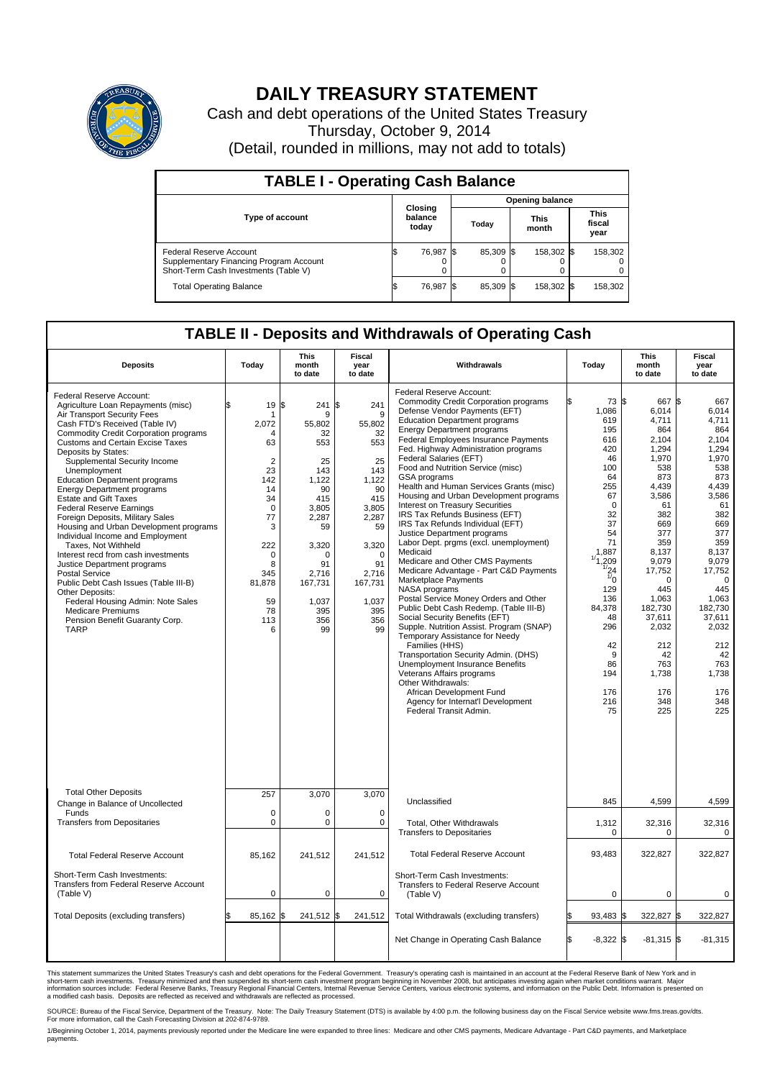

## **DAILY TREASURY STATEMENT**

Cash and debt operations of the United States Treasury Thursday, October 9, 2014 (Detail, rounded in millions, may not add to totals)

| <b>TABLE I - Operating Cash Balance</b>                                                                     |    |                             |                        |           |  |                      |  |                               |  |
|-------------------------------------------------------------------------------------------------------------|----|-----------------------------|------------------------|-----------|--|----------------------|--|-------------------------------|--|
|                                                                                                             |    |                             | <b>Opening balance</b> |           |  |                      |  |                               |  |
| <b>Type of account</b>                                                                                      |    | Closing<br>balance<br>today |                        | Today     |  | <b>This</b><br>month |  | <b>This</b><br>fiscal<br>year |  |
| Federal Reserve Account<br>Supplementary Financing Program Account<br>Short-Term Cash Investments (Table V) |    | 76,987                      |                        | 85,309 \$ |  | 158,302 \$           |  | 158,302                       |  |
| <b>Total Operating Balance</b>                                                                              | ß. | 76,987                      | - IS                   | 85,309 \$ |  | 158,302 \$           |  | 158,302                       |  |

## **TABLE II - Deposits and Withdrawals of Operating Cash**

| <b>Deposits</b>                                                                                                                                                                                                                                                                                                                                                                                                                                                                                                                                                                                                                                                                                                                                                                                                                                                         | Today                                                                                                                                                              | <b>This</b><br>month<br>to date                                                                                                                                                | <b>Fiscal</b><br>year<br>to date                                                                                                                                          | Withdrawals                                                                                                                                                                                                                                                                                                                                                                                                                                                                                                                                                                                                                                                                                                                                                                                                                                                                                                                                                                                                                                                                                                                                                                                                         | Today                                                                                                                                                                                                                                           | <b>This</b><br>month<br>to date                                                                                                                                                                                                                                   | <b>Fiscal</b><br>year<br>to date                                                                                                                                                                                                                                         |  |
|-------------------------------------------------------------------------------------------------------------------------------------------------------------------------------------------------------------------------------------------------------------------------------------------------------------------------------------------------------------------------------------------------------------------------------------------------------------------------------------------------------------------------------------------------------------------------------------------------------------------------------------------------------------------------------------------------------------------------------------------------------------------------------------------------------------------------------------------------------------------------|--------------------------------------------------------------------------------------------------------------------------------------------------------------------|--------------------------------------------------------------------------------------------------------------------------------------------------------------------------------|---------------------------------------------------------------------------------------------------------------------------------------------------------------------------|---------------------------------------------------------------------------------------------------------------------------------------------------------------------------------------------------------------------------------------------------------------------------------------------------------------------------------------------------------------------------------------------------------------------------------------------------------------------------------------------------------------------------------------------------------------------------------------------------------------------------------------------------------------------------------------------------------------------------------------------------------------------------------------------------------------------------------------------------------------------------------------------------------------------------------------------------------------------------------------------------------------------------------------------------------------------------------------------------------------------------------------------------------------------------------------------------------------------|-------------------------------------------------------------------------------------------------------------------------------------------------------------------------------------------------------------------------------------------------|-------------------------------------------------------------------------------------------------------------------------------------------------------------------------------------------------------------------------------------------------------------------|--------------------------------------------------------------------------------------------------------------------------------------------------------------------------------------------------------------------------------------------------------------------------|--|
| Federal Reserve Account:<br>Agriculture Loan Repayments (misc)<br>Air Transport Security Fees<br>Cash FTD's Received (Table IV)<br><b>Commodity Credit Corporation programs</b><br><b>Customs and Certain Excise Taxes</b><br>Deposits by States:<br>Supplemental Security Income<br>Unemployment<br><b>Education Department programs</b><br><b>Energy Department programs</b><br><b>Estate and Gift Taxes</b><br><b>Federal Reserve Earnings</b><br>Foreign Deposits, Military Sales<br>Housing and Urban Development programs<br>Individual Income and Employment<br>Taxes, Not Withheld<br>Interest recd from cash investments<br>Justice Department programs<br><b>Postal Service</b><br>Public Debt Cash Issues (Table III-B)<br>Other Deposits:<br>Federal Housing Admin: Note Sales<br><b>Medicare Premiums</b><br>Pension Benefit Guaranty Corp.<br><b>TARP</b> | \$<br>19<br>2,072<br>Δ<br>63<br>$\overline{2}$<br>23<br>142<br>14<br>34<br>$\Omega$<br>77<br>3<br>222<br>$\mathbf 0$<br>8<br>345<br>81,878<br>59<br>78<br>113<br>6 | 241S<br>l\$<br>9<br>55,802<br>32<br>553<br>25<br>143<br>1.122<br>90<br>415<br>3.805<br>2,287<br>59<br>3,320<br>$\Omega$<br>91<br>2,716<br>167,731<br>1,037<br>395<br>356<br>99 | 241<br>9<br>55,802<br>32<br>553<br>25<br>143<br>1.122<br>90<br>415<br>3.805<br>2,287<br>59<br>3,320<br>$\mathbf 0$<br>91<br>2,716<br>167,731<br>1,037<br>395<br>356<br>99 | Federal Reserve Account:<br><b>Commodity Credit Corporation programs</b><br>Defense Vendor Payments (EFT)<br><b>Education Department programs</b><br><b>Energy Department programs</b><br>Federal Employees Insurance Payments<br>Fed. Highway Administration programs<br>Federal Salaries (EFT)<br>Food and Nutrition Service (misc)<br><b>GSA</b> programs<br>Health and Human Services Grants (misc)<br>Housing and Urban Development programs<br>Interest on Treasury Securities<br>IRS Tax Refunds Business (EFT)<br>IRS Tax Refunds Individual (EFT)<br>Justice Department programs<br>Labor Dept. prgms (excl. unemployment)<br>Medicaid<br>Medicare and Other CMS Payments<br>Medicare Advantage - Part C&D Payments<br>Marketplace Payments<br>NASA programs<br>Postal Service Money Orders and Other<br>Public Debt Cash Redemp. (Table III-B)<br>Social Security Benefits (EFT)<br>Supple. Nutrition Assist. Program (SNAP)<br>Temporary Assistance for Needy<br>Families (HHS)<br>Transportation Security Admin. (DHS)<br>Unemployment Insurance Benefits<br>Veterans Affairs programs<br>Other Withdrawals:<br>African Development Fund<br>Agency for Internat'l Development<br>Federal Transit Admin. | 73 \$<br>1,086<br>619<br>195<br>616<br>420<br>46<br>100<br>64<br>255<br>67<br>$\Omega$<br>32<br>37<br>54<br>71<br>1,887<br>1/1,209<br>1/24<br>$\overline{v}_0$<br>129<br>136<br>84,378<br>48<br>296<br>42<br>9<br>86<br>194<br>176<br>216<br>75 | 667<br>6,014<br>4,711<br>864<br>2,104<br>1,294<br>1.970<br>538<br>873<br>4.439<br>3,586<br>61<br>382<br>669<br>377<br>359<br>8,137<br>9,079<br>17,752<br>$\Omega$<br>445<br>1,063<br>182.730<br>37,611<br>2,032<br>212<br>42<br>763<br>1,738<br>176<br>348<br>225 | 667<br>I\$<br>6,014<br>4,711<br>864<br>2,104<br>1,294<br>1,970<br>538<br>873<br>4,439<br>3,586<br>61<br>382<br>669<br>377<br>359<br>8,137<br>9,079<br>17,752<br>$\Omega$<br>445<br>1,063<br>182.730<br>37,611<br>2,032<br>212<br>42<br>763<br>1,738<br>176<br>348<br>225 |  |
| <b>Total Other Deposits</b>                                                                                                                                                                                                                                                                                                                                                                                                                                                                                                                                                                                                                                                                                                                                                                                                                                             | 257                                                                                                                                                                | 3,070                                                                                                                                                                          | 3,070                                                                                                                                                                     |                                                                                                                                                                                                                                                                                                                                                                                                                                                                                                                                                                                                                                                                                                                                                                                                                                                                                                                                                                                                                                                                                                                                                                                                                     |                                                                                                                                                                                                                                                 |                                                                                                                                                                                                                                                                   |                                                                                                                                                                                                                                                                          |  |
| Change in Balance of Uncollected<br>Funds                                                                                                                                                                                                                                                                                                                                                                                                                                                                                                                                                                                                                                                                                                                                                                                                                               | $\mathbf 0$                                                                                                                                                        | $\Omega$                                                                                                                                                                       | $\Omega$                                                                                                                                                                  | Unclassified                                                                                                                                                                                                                                                                                                                                                                                                                                                                                                                                                                                                                                                                                                                                                                                                                                                                                                                                                                                                                                                                                                                                                                                                        | 845                                                                                                                                                                                                                                             | 4,599                                                                                                                                                                                                                                                             | 4,599                                                                                                                                                                                                                                                                    |  |
| <b>Transfers from Depositaries</b>                                                                                                                                                                                                                                                                                                                                                                                                                                                                                                                                                                                                                                                                                                                                                                                                                                      | 0                                                                                                                                                                  | $\pmb{0}$                                                                                                                                                                      | $\mathbf 0$                                                                                                                                                               | Total, Other Withdrawals<br><b>Transfers to Depositaries</b>                                                                                                                                                                                                                                                                                                                                                                                                                                                                                                                                                                                                                                                                                                                                                                                                                                                                                                                                                                                                                                                                                                                                                        | 1,312<br>0                                                                                                                                                                                                                                      | 32,316<br>$\Omega$                                                                                                                                                                                                                                                | 32,316<br>0                                                                                                                                                                                                                                                              |  |
| <b>Total Federal Reserve Account</b>                                                                                                                                                                                                                                                                                                                                                                                                                                                                                                                                                                                                                                                                                                                                                                                                                                    | 85,162                                                                                                                                                             | 241,512                                                                                                                                                                        | 241,512                                                                                                                                                                   | <b>Total Federal Reserve Account</b>                                                                                                                                                                                                                                                                                                                                                                                                                                                                                                                                                                                                                                                                                                                                                                                                                                                                                                                                                                                                                                                                                                                                                                                | 93,483                                                                                                                                                                                                                                          | 322,827                                                                                                                                                                                                                                                           | 322,827                                                                                                                                                                                                                                                                  |  |
| Short-Term Cash Investments:<br>Transfers from Federal Reserve Account<br>(Table V)                                                                                                                                                                                                                                                                                                                                                                                                                                                                                                                                                                                                                                                                                                                                                                                     | 0                                                                                                                                                                  | $\pmb{0}$                                                                                                                                                                      | 0                                                                                                                                                                         | Short-Term Cash Investments:<br>Transfers to Federal Reserve Account<br>(Table V)                                                                                                                                                                                                                                                                                                                                                                                                                                                                                                                                                                                                                                                                                                                                                                                                                                                                                                                                                                                                                                                                                                                                   | $\mathbf 0$                                                                                                                                                                                                                                     | 0                                                                                                                                                                                                                                                                 | 0                                                                                                                                                                                                                                                                        |  |
| Total Deposits (excluding transfers)                                                                                                                                                                                                                                                                                                                                                                                                                                                                                                                                                                                                                                                                                                                                                                                                                                    | 85,162 \$                                                                                                                                                          | 241,512 \$                                                                                                                                                                     | 241,512                                                                                                                                                                   | Total Withdrawals (excluding transfers)                                                                                                                                                                                                                                                                                                                                                                                                                                                                                                                                                                                                                                                                                                                                                                                                                                                                                                                                                                                                                                                                                                                                                                             | 93,483                                                                                                                                                                                                                                          | 322,827 \$<br>ß.                                                                                                                                                                                                                                                  | 322,827                                                                                                                                                                                                                                                                  |  |
|                                                                                                                                                                                                                                                                                                                                                                                                                                                                                                                                                                                                                                                                                                                                                                                                                                                                         |                                                                                                                                                                    |                                                                                                                                                                                |                                                                                                                                                                           | Net Change in Operating Cash Balance                                                                                                                                                                                                                                                                                                                                                                                                                                                                                                                                                                                                                                                                                                                                                                                                                                                                                                                                                                                                                                                                                                                                                                                | l\$<br>$-8,322$ \$                                                                                                                                                                                                                              | $-81,315$ \$                                                                                                                                                                                                                                                      | $-81,315$                                                                                                                                                                                                                                                                |  |

This statement summarizes the United States Treasury's cash and debt operations for the Federal Government. Treasury's operating cash is maintained in an account at the Federal Reserve Bank of New York and in<br>short-term ca

SOURCE: Bureau of the Fiscal Service, Department of the Treasury. Note: The Daily Treasury Statement (DTS) is available by 4:00 p.m. the following business day on the Fiscal Service website www.fms.treas.gov/dts.<br>For more

1/Beginning October 1, 2014, payments previously reported under the Medicare line were expanded to three lines: Medicare and other CMS payments, Medicare Advantage - Part C&D payments, and Marketplace<br>payments.